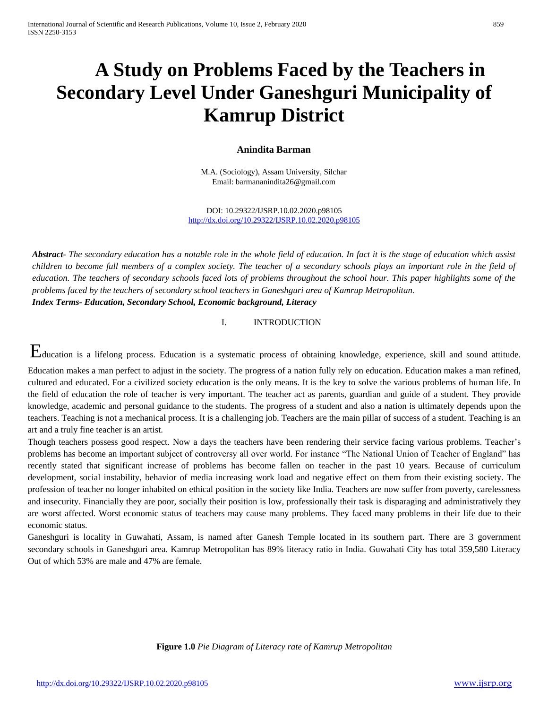# **A Study on Problems Faced by the Teachers in Secondary Level Under Ganeshguri Municipality of Kamrup District**

### **Anindita Barman**

M.A. (Sociology), Assam University, Silchar Email: barmananindita26@gmail.com

DOI: 10.29322/IJSRP.10.02.2020.p98105 <http://dx.doi.org/10.29322/IJSRP.10.02.2020.p98105>

*Abstract***-** *The secondary education has a notable role in the whole field of education. In fact it is the stage of education which assist children to become full members of a complex society. The teacher of a secondary schools plays an important role in the field of education. The teachers of secondary schools faced lots of problems throughout the school hour. This paper highlights some of the problems faced by the teachers of secondary school teachers in Ganeshguri area of Kamrup Metropolitan. Index Terms- Education, Secondary School, Economic background, Literacy*

I. INTRODUCTION

Education is a lifelong process. Education is a systematic process of obtaining knowledge, experience, skill and sound attitude.

Education makes a man perfect to adjust in the society. The progress of a nation fully rely on education. Education makes a man refined, cultured and educated. For a civilized society education is the only means. It is the key to solve the various problems of human life. In the field of education the role of teacher is very important. The teacher act as parents, guardian and guide of a student. They provide knowledge, academic and personal guidance to the students. The progress of a student and also a nation is ultimately depends upon the teachers. Teaching is not a mechanical process. It is a challenging job. Teachers are the main pillar of success of a student. Teaching is an art and a truly fine teacher is an artist.

Though teachers possess good respect. Now a days the teachers have been rendering their service facing various problems. Teacher's problems has become an important subject of controversy all over world. For instance "The National Union of Teacher of England" has recently stated that significant increase of problems has become fallen on teacher in the past 10 years. Because of curriculum development, social instability, behavior of media increasing work load and negative effect on them from their existing society. The profession of teacher no longer inhabited on ethical position in the society like India. Teachers are now suffer from poverty, carelessness and insecurity. Financially they are poor, socially their position is low, professionally their task is disparaging and administratively they are worst affected. Worst economic status of teachers may cause many problems. They faced many problems in their life due to their economic status.

Ganeshguri is locality in Guwahati, Assam, is named after Ganesh Temple located in its southern part. There are 3 government secondary schools in Ganeshguri area. Kamrup Metropolitan has 89% literacy ratio in India. Guwahati City has total 359,580 Literacy Out of which 53% are male and 47% are female.

**Figure 1.0** *Pie Diagram of Literacy rate of Kamrup Metropolitan*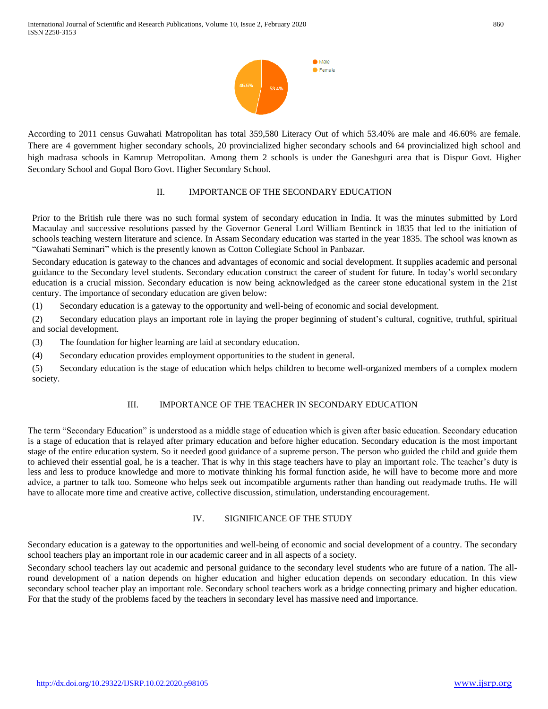

According to 2011 census Guwahati Matropolitan has total 359,580 Literacy Out of which 53.40% are male and 46.60% are female. There are 4 government higher secondary schools, 20 provincialized higher secondary schools and 64 provincialized high school and high madrasa schools in Kamrup Metropolitan. Among them 2 schools is under the Ganeshguri area that is Dispur Govt. Higher Secondary School and Gopal Boro Govt. Higher Secondary School.

### II. IMPORTANCE OF THE SECONDARY EDUCATION

Prior to the British rule there was no such formal system of secondary education in India. It was the minutes submitted by Lord Macaulay and successive resolutions passed by the Governor General Lord William Bentinck in 1835 that led to the initiation of schools teaching western literature and science. In Assam Secondary education was started in the year 1835. The school was known as "Gawahati Seminari" which is the presently known as Cotton Collegiate School in Panbazar.

Secondary education is gateway to the chances and advantages of economic and social development. It supplies academic and personal guidance to the Secondary level students. Secondary education construct the career of student for future. In today's world secondary education is a crucial mission. Secondary education is now being acknowledged as the career stone educational system in the 21st century. The importance of secondary education are given below:

(1) Secondary education is a gateway to the opportunity and well-being of economic and social development.

(2) Secondary education plays an important role in laying the proper beginning of student's cultural, cognitive, truthful, spiritual and social development.

(3) The foundation for higher learning are laid at secondary education.

(4) Secondary education provides employment opportunities to the student in general.

(5) Secondary education is the stage of education which helps children to become well-organized members of a complex modern society.

### III. IMPORTANCE OF THE TEACHER IN SECONDARY EDUCATION

The term "Secondary Education" is understood as a middle stage of education which is given after basic education. Secondary education is a stage of education that is relayed after primary education and before higher education. Secondary education is the most important stage of the entire education system. So it needed good guidance of a supreme person. The person who guided the child and guide them to achieved their essential goal, he is a teacher. That is why in this stage teachers have to play an important role. The teacher's duty is less and less to produce knowledge and more to motivate thinking his formal function aside, he will have to become more and more advice, a partner to talk too. Someone who helps seek out incompatible arguments rather than handing out readymade truths. He will have to allocate more time and creative active, collective discussion, stimulation, understanding encouragement.

### IV. SIGNIFICANCE OF THE STUDY

Secondary education is a gateway to the opportunities and well-being of economic and social development of a country. The secondary school teachers play an important role in our academic career and in all aspects of a society.

Secondary school teachers lay out academic and personal guidance to the secondary level students who are future of a nation. The allround development of a nation depends on higher education and higher education depends on secondary education. In this view secondary school teacher play an important role. Secondary school teachers work as a bridge connecting primary and higher education. For that the study of the problems faced by the teachers in secondary level has massive need and importance.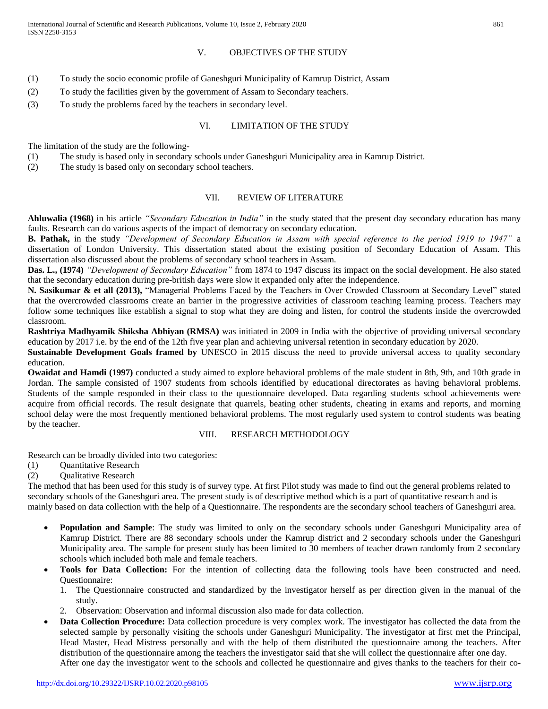#### V. OBJECTIVES OF THE STUDY

- (1) To study the socio economic profile of Ganeshguri Municipality of Kamrup District, Assam
- (2) To study the facilities given by the government of Assam to Secondary teachers.
- (3) To study the problems faced by the teachers in secondary level.

### VI. LIMITATION OF THE STUDY

The limitation of the study are the following-

- (1) The study is based only in secondary schools under Ganeshguri Municipality area in Kamrup District.
- (2) The study is based only on secondary school teachers.

## VII. REVIEW OF LITERATURE

**Ahluwalia (1968)** in his article *"Secondary Education in India"* in the study stated that the present day secondary education has many faults. Research can do various aspects of the impact of democracy on secondary education.

**B. Pathak,** in the study *"Development of Secondary Education in Assam with special reference to the period 1919 to 1947"* a dissertation of London University. This dissertation stated about the existing position of Secondary Education of Assam. This dissertation also discussed about the problems of secondary school teachers in Assam.

**Das. L., (1974)** *"Development of Secondary Education"* from 1874 to 1947 discuss its impact on the social development. He also stated that the secondary education during pre-british days were slow it expanded only after the independence.

**N. Sasikumar & et all (2013),** "Managerial Problems Faced by the Teachers in Over Crowded Classroom at Secondary Level" stated that the overcrowded classrooms create an barrier in the progressive activities of classroom teaching learning process. Teachers may follow some techniques like establish a signal to stop what they are doing and listen, for control the students inside the overcrowded classroom.

**Rashtriya Madhyamik Shiksha Abhiyan (RMSA)** was initiated in 2009 in India with the objective of providing universal secondary education by 2017 i.e. by the end of the 12th five year plan and achieving universal retention in secondary education by 2020.

**Sustainable Development Goals framed by** UNESCO in 2015 discuss the need to provide universal access to quality secondary education.

**Owaidat and Hamdi (1997)** conducted a study aimed to explore behavioral problems of the male student in 8th, 9th, and 10th grade in Jordan. The sample consisted of 1907 students from schools identified by educational directorates as having behavioral problems. Students of the sample responded in their class to the questionnaire developed. Data regarding students school achievements were acquire from official records. The result designate that quarrels, beating other students, cheating in exams and reports, and morning school delay were the most frequently mentioned behavioral problems. The most regularly used system to control students was beating by the teacher.

#### VIII. RESEARCH METHODOLOGY

Research can be broadly divided into two categories:

- (1) Quantitative Research
- (2) Qualitative Research

The method that has been used for this study is of survey type. At first Pilot study was made to find out the general problems related to secondary schools of the Ganeshguri area. The present study is of descriptive method which is a part of quantitative research and is mainly based on data collection with the help of a Questionnaire. The respondents are the secondary school teachers of Ganeshguri area.

- **Population and Sample**: The study was limited to only on the secondary schools under Ganeshguri Municipality area of Kamrup District. There are 88 secondary schools under the Kamrup district and 2 secondary schools under the Ganeshguri Municipality area. The sample for present study has been limited to 30 members of teacher drawn randomly from 2 secondary schools which included both male and female teachers.
- **Tools for Data Collection:** For the intention of collecting data the following tools have been constructed and need. Questionnaire:
	- 1. The Questionnaire constructed and standardized by the investigator herself as per direction given in the manual of the study.
	- 2. Observation: Observation and informal discussion also made for data collection.
- **Data Collection Procedure:** Data collection procedure is very complex work. The investigator has collected the data from the selected sample by personally visiting the schools under Ganeshguri Municipality. The investigator at first met the Principal, Head Master, Head Mistress personally and with the help of them distributed the questionnaire among the teachers. After distribution of the questionnaire among the teachers the investigator said that she will collect the questionnaire after one day. After one day the investigator went to the schools and collected he questionnaire and gives thanks to the teachers for their co-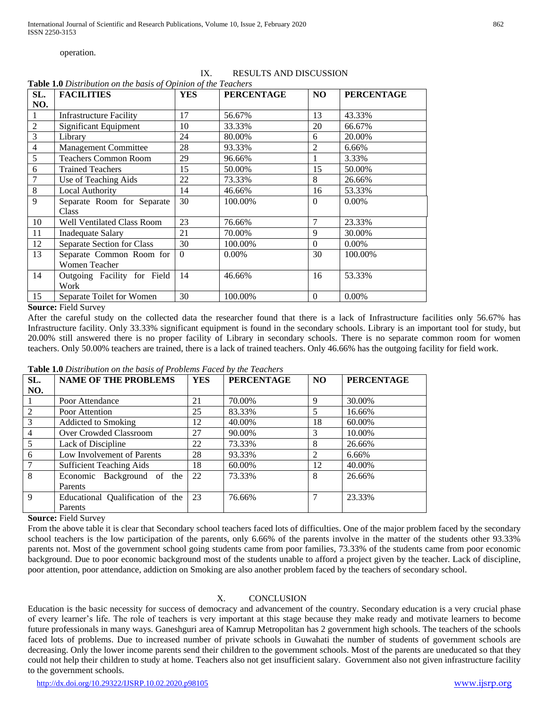operation.

| SL.            | <b>FACILITIES</b>              | <b>YES</b> | <b>PERCENTAGE</b> | NO.            | <b>PERCENTAGE</b> |
|----------------|--------------------------------|------------|-------------------|----------------|-------------------|
| NO.            |                                |            |                   |                |                   |
|                | <b>Infrastructure Facility</b> | 17         | 56.67%            | 13             | 43.33%            |
| $\overline{2}$ | Significant Equipment          | 10         | 33.33%            | 20             | 66.67%            |
| 3              | Library                        | 24         | 80.00%            | 6              | 20.00%            |
| $\overline{4}$ | Management Committee           | 28         | 93.33%            | $\overline{2}$ | 6.66%             |
| 5              | <b>Teachers Common Room</b>    | 29         | 96.66%            |                | 3.33%             |
| 6              | <b>Trained Teachers</b>        | 15         | 50.00%            | 15             | 50.00%            |
|                | Use of Teaching Aids           | 22         | 73.33%            | 8              | 26.66%            |
| 8              | <b>Local Authority</b>         | 14         | 46.66%            | 16             | 53.33%            |
| 9              | Separate Room for Separate     | 30         | 100.00%           | $\Omega$       | $0.00\%$          |
|                | Class                          |            |                   |                |                   |
| 10             | Well Ventilated Class Room     | 23         | 76.66%            | $\tau$         | 23.33%            |
| 11             | Inadequate Salary              | 21         | 70.00%            | 9              | 30.00%            |
| 12             | Separate Section for Class     | 30         | 100.00%           | $\Omega$       | $0.00\%$          |
| 13             | Separate Common Room for       | $\Omega$   | $0.00\%$          | 30             | 100.00%           |
|                | <b>Women Teacher</b>           |            |                   |                |                   |
| 14             | Outgoing Facility for Field    | 14         | 46.66%            | 16             | 53.33%            |
|                | Work                           |            |                   |                |                   |
| 15             | Separate Toilet for Women      | 30         | 100.00%           | $\theta$       | $0.00\%$          |

#### IX. RESULTS AND DISCUSSION **Table 1.0** *Distribution on the basis of Opinion of the Teachers*

#### **Source:** Field Survey

After the careful study on the collected data the researcher found that there is a lack of Infrastructure facilities only 56.67% has Infrastructure facility. Only 33.33% significant equipment is found in the secondary schools. Library is an important tool for study, but 20.00% still answered there is no proper facility of Library in secondary schools. There is no separate common room for women teachers. Only 50.00% teachers are trained, there is a lack of trained teachers. Only 46.66% has the outgoing facility for field work.

| <b>THOICE</b> THE DISTRIBUTION ON THE DUBIN OF I TODICING I WOOW OF THE I CUCITORS |                                  |            |                   |           |                   |  |  |  |
|------------------------------------------------------------------------------------|----------------------------------|------------|-------------------|-----------|-------------------|--|--|--|
| SL.                                                                                | <b>NAME OF THE PROBLEMS</b>      | <b>YES</b> | <b>PERCENTAGE</b> | <b>NO</b> | <b>PERCENTAGE</b> |  |  |  |
| NO.                                                                                |                                  |            |                   |           |                   |  |  |  |
| $\overline{1}$                                                                     | Poor Attendance                  | 21         | 70.00%            | 9         | 30.00%            |  |  |  |
| 2                                                                                  | Poor Attention                   | 25         | 83.33%            | 5         | 16.66%            |  |  |  |
| $\overline{3}$                                                                     | Addicted to Smoking              | 12         | 40.00%            | 18        | 60.00%            |  |  |  |
| $\overline{4}$                                                                     | Over Crowded Classroom           | 27         | 90.00%            | 3         | 10.00%            |  |  |  |
| 5                                                                                  | Lack of Discipline               | 22         | 73.33%            | 8         | 26.66%            |  |  |  |
| 6                                                                                  | Low Involvement of Parents       | 28         | 93.33%            | 2         | 6.66%             |  |  |  |
| $7\overline{ }$                                                                    | <b>Sufficient Teaching Aids</b>  | 18         | 60.00%            | 12        | 40.00%            |  |  |  |
| -8                                                                                 | Economic Background of the       | 22         | 73.33%            | 8         | 26.66%            |  |  |  |
|                                                                                    | <b>Parents</b>                   |            |                   |           |                   |  |  |  |
| $\mathbf{q}$                                                                       | Educational Qualification of the | 23         | 76.66%            | 7         | 23.33%            |  |  |  |
|                                                                                    | <b>Parents</b>                   |            |                   |           |                   |  |  |  |

### **Table 1.0** *Distribution on the basis of Problems Faced by the Teachers*

**Source:** Field Survey

From the above table it is clear that Secondary school teachers faced lots of difficulties. One of the major problem faced by the secondary school teachers is the low participation of the parents, only 6.66% of the parents involve in the matter of the students other 93.33% parents not. Most of the government school going students came from poor families, 73.33% of the students came from poor economic background. Due to poor economic background most of the students unable to afford a project given by the teacher. Lack of discipline, poor attention, poor attendance, addiction on Smoking are also another problem faced by the teachers of secondary school.

# X. CONCLUSION

Education is the basic necessity for success of democracy and advancement of the country. Secondary education is a very crucial phase of every learner's life. The role of teachers is very important at this stage because they make ready and motivate learners to become future professionals in many ways. Ganeshguri area of Kamrup Metropolitan has 2 government high schools. The teachers of the schools faced lots of problems. Due to increased number of private schools in Guwahati the number of students of government schools are decreasing. Only the lower income parents send their children to the government schools. Most of the parents are uneducated so that they could not help their children to study at home. Teachers also not get insufficient salary. Government also not given infrastructure facility to the government schools.